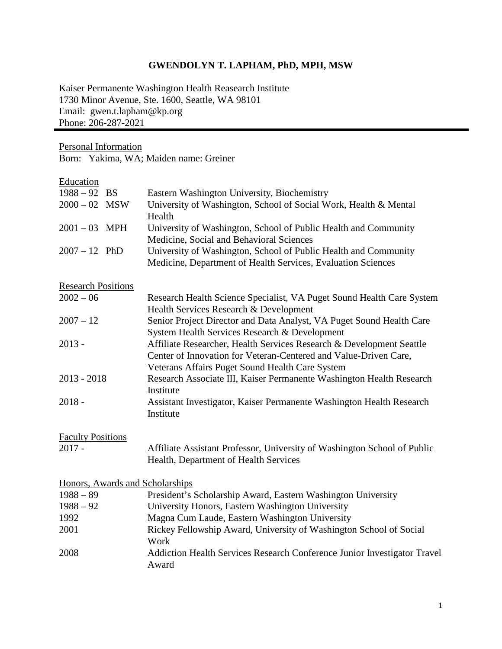## **GWENDOLYN T. LAPHAM, PhD, MPH, MSW**

Kaiser Permanente Washington Health Reasearch Institute 1730 Minor Avenue, Ste. 1600, Seattle, WA 98101 Email: gwen.t.lapham@kp.org Phone: 206-287-2021

Personal Information

Born: Yakima, WA; Maiden name: Greiner

## **Education**

| $1988 - 92$ BS            | Eastern Washington University, Biochemistry                                                                                                                                                 |
|---------------------------|---------------------------------------------------------------------------------------------------------------------------------------------------------------------------------------------|
| $2000 - 02$ MSW           | University of Washington, School of Social Work, Health & Mental<br>Health                                                                                                                  |
| $2001 - 03$ MPH           | University of Washington, School of Public Health and Community                                                                                                                             |
|                           | Medicine, Social and Behavioral Sciences                                                                                                                                                    |
| $2007 - 12$ PhD           | University of Washington, School of Public Health and Community<br>Medicine, Department of Health Services, Evaluation Sciences                                                             |
| <b>Research Positions</b> |                                                                                                                                                                                             |
| $2002 - 06$               | Research Health Science Specialist, VA Puget Sound Health Care System<br>Health Services Research & Development                                                                             |
| $2007 - 12$               | Senior Project Director and Data Analyst, VA Puget Sound Health Care<br>System Health Services Research & Development                                                                       |
| $2013 -$                  | Affiliate Researcher, Health Services Research & Development Seattle<br>Center of Innovation for Veteran-Centered and Value-Driven Care,<br>Veterans Affairs Puget Sound Health Care System |
| $2013 - 2018$             | Research Associate III, Kaiser Permanente Washington Health Research<br>Institute                                                                                                           |
| $2018 -$                  | Assistant Investigator, Kaiser Permanente Washington Health Research<br>Institute                                                                                                           |
| <b>Faculty Positions</b>  |                                                                                                                                                                                             |
| $2017 -$                  | Affiliate Assistant Professor, University of Washington School of Public<br>Health, Department of Health Services                                                                           |
|                           | Honors, Awards and Scholarships                                                                                                                                                             |
| $1988 - 89$               | President's Scholarship Award, Eastern Washington University                                                                                                                                |
| $1988 - 92$               | University Honors, Eastern Washington University                                                                                                                                            |
| 1992                      | Magna Cum Laude, Eastern Washington University                                                                                                                                              |
| 2001                      | Rickey Fellowship Award, University of Washington School of Social                                                                                                                          |

|      | Work                                                                     |  |
|------|--------------------------------------------------------------------------|--|
| 2008 | Addiction Health Services Research Conference Junior Investigator Travel |  |
|      | Award                                                                    |  |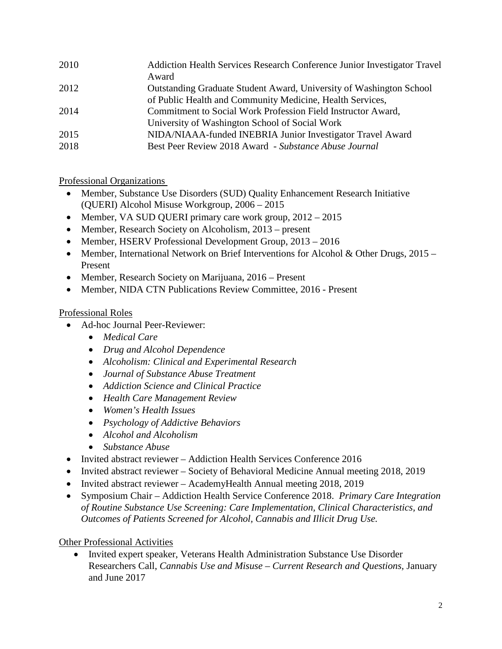| Addiction Health Services Research Conference Junior Investigator Travel<br>Award |
|-----------------------------------------------------------------------------------|
| Outstanding Graduate Student Award, University of Washington School               |
| of Public Health and Community Medicine, Health Services,                         |
| Commitment to Social Work Profession Field Instructor Award,                      |
| University of Washington School of Social Work                                    |
| NIDA/NIAAA-funded INEBRIA Junior Investigator Travel Award                        |
| Best Peer Review 2018 Award - Substance Abuse Journal                             |
|                                                                                   |

Professional Organizations

- Member, Substance Use Disorders (SUD) Quality Enhancement Research Initiative (QUERI) Alcohol Misuse Workgroup, 2006 – 2015
- Member, VA SUD QUERI primary care work group,  $2012 2015$
- Member, Research Society on Alcoholism, 2013 present
- Member, HSERV Professional Development Group, 2013 2016
- Member, International Network on Brief Interventions for Alcohol & Other Drugs, 2015 Present
- Member, Research Society on Marijuana, 2016 Present
- Member, NIDA CTN Publications Review Committee, 2016 Present

# Professional Roles

- Ad-hoc Journal Peer-Reviewer:
	- *Medical Care*
	- *Drug and Alcohol Dependence*
	- *Alcoholism: Clinical and Experimental Research*
	- *Journal of Substance Abuse Treatment*
	- *Addiction Science and Clinical Practice*
	- *Health Care Management Review*
	- *Women's Health Issues*
	- *Psychology of Addictive Behaviors*
	- *Alcohol and Alcoholism*
	- *Substance Abuse*
- Invited abstract reviewer Addiction Health Services Conference 2016
- Invited abstract reviewer Society of Behavioral Medicine Annual meeting 2018, 2019
- Invited abstract reviewer AcademyHealth Annual meeting 2018, 2019
- Symposium Chair Addiction Health Service Conference 2018. *Primary Care Integration of Routine Substance Use Screening: Care Implementation, Clinical Characteristics, and Outcomes of Patients Screened for Alcohol, Cannabis and Illicit Drug Use.*

# Other Professional Activities

• Invited expert speaker, Veterans Health Administration Substance Use Disorder Researchers Call, *Cannabis Use and Misuse – Current Research and Questions,* January and June 2017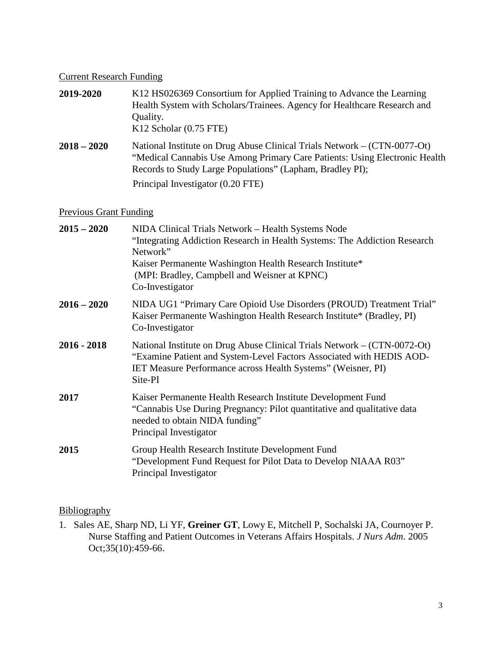#### Current Research Funding

| 2019-2020     | K12 HS026369 Consortium for Applied Training to Advance the Learning<br>Health System with Scholars/Trainees. Agency for Healthcare Research and<br>Quality.<br>$K12$ Scholar $(0.75$ FTE)                          |
|---------------|---------------------------------------------------------------------------------------------------------------------------------------------------------------------------------------------------------------------|
| $2018 - 2020$ | National Institute on Drug Abuse Clinical Trials Network – (CTN-0077-Ot)<br>"Medical Cannabis Use Among Primary Care Patients: Using Electronic Health<br>Records to Study Large Populations" (Lapham, Bradley PI); |
|               | Principal Investigator (0.20 FTE)                                                                                                                                                                                   |

#### Previous Grant Funding

| $2015 - 2020$ | NIDA Clinical Trials Network - Health Systems Node<br>"Integrating Addiction Research in Health Systems: The Addiction Research<br>Network"<br>Kaiser Permanente Washington Health Research Institute*<br>(MPI: Bradley, Campbell and Weisner at KPNC)<br>Co-Investigator |
|---------------|---------------------------------------------------------------------------------------------------------------------------------------------------------------------------------------------------------------------------------------------------------------------------|
| $2016 - 2020$ | NIDA UG1 "Primary Care Opioid Use Disorders (PROUD) Treatment Trial"<br>Kaiser Permanente Washington Health Research Institute* (Bradley, PI)<br>Co-Investigator                                                                                                          |
| $2016 - 2018$ | National Institute on Drug Abuse Clinical Trials Network – (CTN-0072-Ot)<br>"Examine Patient and System-Level Factors Associated with HEDIS AOD-<br>IET Measure Performance across Health Systems" (Weisner, PI)<br>Site-PI                                               |
| 2017          | Kaiser Permanente Health Research Institute Development Fund<br>"Cannabis Use During Pregnancy: Pilot quantitative and qualitative data<br>needed to obtain NIDA funding"<br>Principal Investigator                                                                       |
| 2015          | Group Health Research Institute Development Fund<br>"Development Fund Request for Pilot Data to Develop NIAAA R03"<br>Principal Investigator                                                                                                                              |

# **Bibliography**

1. Sales AE, Sharp ND, Li YF, **Greiner GT**, Lowy E, Mitchell P, Sochalski JA, Cournoyer P. Nurse Staffing and Patient Outcomes in Veterans Affairs Hospitals. *J Nurs Adm*. 2005 Oct;35(10):459-66.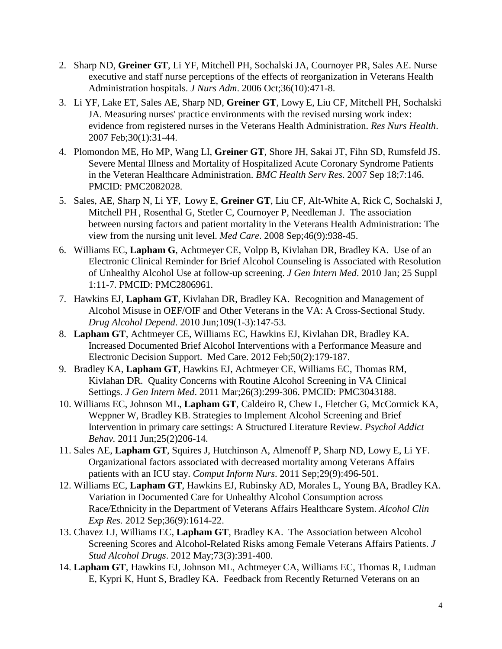- 2. Sharp ND, **Greiner GT**, Li YF, Mitchell PH, Sochalski JA, Cournoyer PR, Sales AE. Nurse executive and staff nurse perceptions of the effects of reorganization in Veterans Health Administration hospitals. *J Nurs Adm*. 2006 Oct;36(10):471-8.
- 3. Li YF, Lake ET, Sales AE, Sharp ND, **Greiner GT**, Lowy E, Liu CF, Mitchell PH, Sochalski JA. Measuring nurses' practice environments with the revised nursing work index: evidence from registered nurses in the Veterans Health Administration. *Res Nurs Health*. 2007 Feb;30(1):31-44.
- 4. Plomondon ME, Ho MP, Wang LI, **Greiner GT**, Shore JH, Sakai JT, Fihn SD, Rumsfeld JS. Severe Mental Illness and Mortality of Hospitalized Acute Coronary Syndrome Patients in the Veteran Healthcare Administration. *BMC Health Serv Res*. 2007 Sep 18;7:146. PMCID: PMC2082028.
- 5. Sales, AE, Sharp N, Li YF, Lowy E, **Greiner GT**, Liu CF, Alt-White A, Rick C, Sochalski J, Mitchell PH , Rosenthal G, Stetler C, Cournoyer P, Needleman J. The association between nursing factors and patient mortality in the Veterans Health Administration: The view from the nursing unit level. *Med Care*. 2008 Sep;46(9):938-45.
- 6. Williams EC, **Lapham G**, Achtmeyer CE, Volpp B, Kivlahan DR, Bradley KA. Use of an Electronic Clinical Reminder for Brief Alcohol Counseling is Associated with Resolution of Unhealthy Alcohol Use at follow-up screening. *J Gen Intern Med*. 2010 Jan; 25 Suppl 1:11-7. PMCID: PMC2806961.
- 7. Hawkins EJ, **Lapham GT**, Kivlahan DR, Bradley KA. Recognition and Management of Alcohol Misuse in OEF/OIF and Other Veterans in the VA: A Cross-Sectional Study. *Drug Alcohol Depend*. 2010 Jun;109(1-3):147-53.
- 8. **Lapham GT**, Achtmeyer CE, Williams EC, Hawkins EJ, Kivlahan DR, Bradley KA. Increased Documented Brief Alcohol Interventions with a Performance Measure and Electronic Decision Support. Med Care. 2012 Feb;50(2):179-187.
- 9. Bradley KA, **Lapham GT**, Hawkins EJ, Achtmeyer CE, Williams EC, Thomas RM, Kivlahan DR. Quality Concerns with Routine Alcohol Screening in VA Clinical Settings. *J Gen Intern Med*. 2011 Mar;26(3):299-306. PMCID: PMC3043188.
- 10. Williams EC, Johnson ML, **Lapham GT**, Caldeiro R, Chew L, Fletcher G, McCormick KA, Weppner W, Bradley KB. Strategies to Implement Alcohol Screening and Brief Intervention in primary care settings: A Structured Literature Review. *Psychol Addict Behav.* 2011 Jun;25(2)206-14.
- 11. Sales AE, **Lapham GT**, Squires J, Hutchinson A, Almenoff P, Sharp ND, Lowy E, Li YF. Organizational factors associated with decreased mortality among Veterans Affairs patients with an ICU stay. *Comput Inform Nurs*. 2011 Sep;29(9):496-501.
- 12. Williams EC, **Lapham GT**, Hawkins EJ, Rubinsky AD, Morales L, Young BA, Bradley KA. Variation in Documented Care for Unhealthy Alcohol Consumption across Race/Ethnicity in the Department of Veterans Affairs Healthcare System. *Alcohol Clin Exp Res.* 2012 Sep;36(9):1614-22.
- 13. Chavez LJ, Williams EC, **Lapham GT**, Bradley KA. The Association between Alcohol Screening Scores and Alcohol-Related Risks among Female Veterans Affairs Patients. *J Stud Alcohol Drugs*. 2012 May;73(3):391-400.
- 14. **Lapham GT**, Hawkins EJ, Johnson ML, Achtmeyer CA, Williams EC, Thomas R, Ludman E, Kypri K, Hunt S, Bradley KA. Feedback from Recently Returned Veterans on an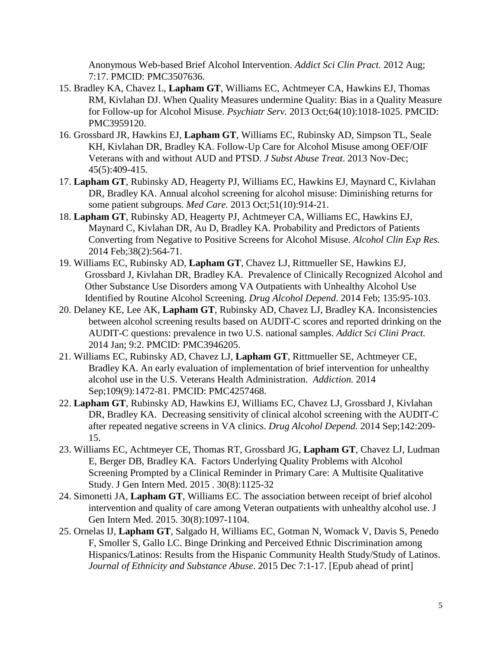Anonymous Web-based Brief Alcohol Intervention. *Addict Sci Clin Pract.* 2012 Aug; 7:17. PMCID: PMC3507636.

- 15. Bradley KA, Chavez L, **Lapham GT**, Williams EC, Achtmeyer CA, Hawkins EJ, Thomas RM, Kivlahan DJ. When Quality Measures undermine Quality: Bias in a Quality Measure for Follow-up for Alcohol Misuse. *Psychiatr Serv.* 2013 Oct;64(10):1018-1025. PMCID: PMC3959120.
- 16. Grossbard JR, Hawkins EJ, **Lapham GT**, Williams EC, Rubinsky AD, Simpson TL, Seale KH, Kivlahan DR, Bradley KA. Follow-Up Care for Alcohol Misuse among OEF/OIF Veterans with and without AUD and PTSD. *J Subst Abuse Treat*. 2013 Nov-Dec; 45(5):409-415.
- 17. **Lapham GT**, Rubinsky AD, Heagerty PJ, Williams EC, Hawkins EJ, Maynard C, Kivlahan DR, Bradley KA. Annual alcohol screening for alcohol misuse: Diminishing returns for some patient subgroups. *Med Care.* 2013 Oct;51(10):914-21.
- 18. **Lapham GT**, Rubinsky AD, Heagerty PJ, Achtmeyer CA, Williams EC, Hawkins EJ, Maynard C, Kivlahan DR, Au D, Bradley KA. Probability and Predictors of Patients Converting from Negative to Positive Screens for Alcohol Misuse. *Alcohol Clin Exp Res.*  2014 Feb;38(2):564-71.
- 19. Williams EC, Rubinsky AD, **Lapham GT**, Chavez LJ, Rittmueller SE, Hawkins EJ, Grossbard J, Kivlahan DR, Bradley KA. Prevalence of Clinically Recognized Alcohol and Other Substance Use Disorders among VA Outpatients with Unhealthy Alcohol Use Identified by Routine Alcohol Screening. *Drug Alcohol Depend*. 2014 Feb; 135:95-103.
- 20. Delaney KE, Lee AK, **Lapham GT**, Rubinsky AD, Chavez LJ, Bradley KA. Inconsistencies between alcohol screening results based on AUDIT-C scores and reported drinking on the AUDIT-C questions: prevalence in two U.S. national samples. *Addict Sci Clini Pract.* 2014 Jan; 9:2. PMCID: PMC3946205.
- 21. Williams EC, Rubinsky AD, Chavez LJ, **Lapham GT**, Rittmueller SE, Achtmeyer CE, Bradley KA. An early evaluation of implementation of brief intervention for unhealthy alcohol use in the U.S. Veterans Health Administration. *Addiction.* 2014 Sep;109(9):1472-81. PMCID: PMC4257468.
- 22. **Lapham GT**, Rubinsky AD, Hawkins EJ, Williams EC, Chavez LJ, Grossbard J, Kivlahan DR, Bradley KA. Decreasing sensitivity of clinical alcohol screening with the AUDIT-C after repeated negative screens in VA clinics. *Drug Alcohol Depend.* 2014 Sep;142:209- 15.
- 23. Williams EC, Achtmeyer CE, Thomas RT, Grossbard JG, **Lapham GT**, Chavez LJ, Ludman E, Berger DB, Bradley KA. Factors Underlying Quality Problems with Alcohol Screening Prompted by a Clinical Reminder in Primary Care: A Multisite Qualitative Study. J Gen Intern Med. 2015 . 30(8):1125-32
- 24. Simonetti JA, **Lapham GT**, Williams EC. The association between receipt of brief alcohol intervention and quality of care among Veteran outpatients with unhealthy alcohol use. J Gen Intern Med. 2015. 30(8):1097-1104.
- 25. Ornelas IJ, **Lapham GT**, Salgado H, Williams EC, Gotman N, Womack V, Davis S, Penedo F, Smoller S, Gallo LC. Binge Drinking and Perceived Ethnic Discrimination among Hispanics/Latinos: Results from the Hispanic Community Health Study/Study of Latinos. *Journal of Ethnicity and Substance Abuse*. 2015 Dec 7:1-17. [Epub ahead of print]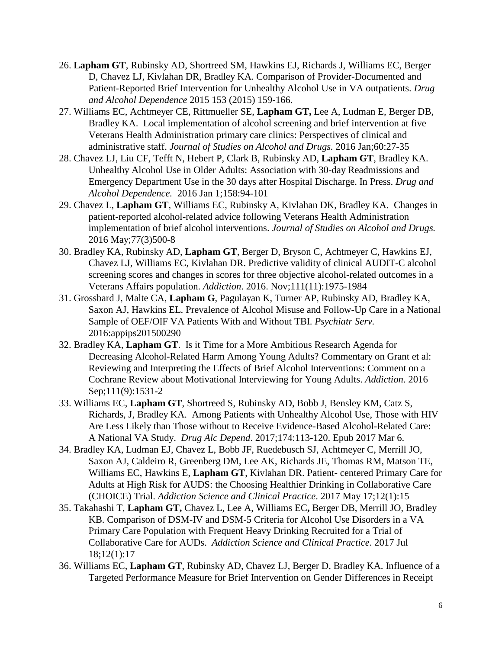- 26. **Lapham GT**, Rubinsky AD, Shortreed SM, Hawkins EJ, Richards J, Williams EC, Berger D, Chavez LJ, Kivlahan DR, Bradley KA. Comparison of Provider-Documented and Patient-Reported Brief Intervention for Unhealthy Alcohol Use in VA outpatients. *Drug and Alcohol Dependence* 2015 [153](http://dx.doi.org/10.1016/j.drugalcdep.2015.05.027) (2015) 159-166.
- 27. Williams EC, Achtmeyer CE, Rittmueller SE, **Lapham GT,** Lee A, Ludman E, Berger DB, Bradley KA. Local implementation of alcohol screening and brief intervention at five Veterans Health Administration primary care clinics: Perspectives of clinical and administrative staff. *Journal of Studies on Alcohol and Drugs.* 2016 Jan;60:27-35
- 28. Chavez LJ, Liu CF, Tefft N, Hebert P, Clark B, Rubinsky AD, **Lapham GT**, Bradley KA. Unhealthy Alcohol Use in Older Adults: Association with 30-day Readmissions and Emergency Department Use in the 30 days after Hospital Discharge. In Press. *Drug and Alcohol Dependence.* 2016 Jan 1;158:94-101
- 29. Chavez L, **Lapham GT**, Williams EC, Rubinsky A, Kivlahan DK, Bradley KA. Changes in patient-reported alcohol-related advice following Veterans Health Administration implementation of brief alcohol interventions. *Journal of Studies on Alcohol and Drugs.*  2016 May;77(3)500-8
- 30. Bradley KA, Rubinsky AD, **Lapham GT**, Berger D, Bryson C, Achtmeyer C, Hawkins EJ, Chavez LJ, Williams EC, Kivlahan DR. Predictive validity of clinical AUDIT-C alcohol screening scores and changes in scores for three objective alcohol-related outcomes in a Veterans Affairs population. *Addiction*. 2016. Nov;111(11):1975-1984
- 31. Grossbard J, Malte CA, **Lapham G**, Pagulayan K, Turner AP, Rubinsky AD, Bradley KA, Saxon AJ, Hawkins EL. Prevalence of Alcohol Misuse and Follow-Up Care in a National Sample of OEF/OIF VA Patients With and Without TBI. *Psychiatr Serv.* 2016:appips201500290
- 32. Bradley KA, **Lapham GT**. Is it Time for a More Ambitious Research Agenda for Decreasing Alcohol-Related Harm Among Young Adults? Commentary on Grant et al: Reviewing and Interpreting the Effects of Brief Alcohol Interventions: Comment on a Cochrane Review about Motivational Interviewing for Young Adults. *Addiction*. 2016 Sep;111(9):1531-2
- 33. Williams EC, **Lapham GT**, Shortreed S, Rubinsky AD, Bobb J, Bensley KM, Catz S, Richards, J, Bradley KA. Among Patients with Unhealthy Alcohol Use, Those with HIV Are Less Likely than Those without to Receive Evidence-Based Alcohol-Related Care: A National VA Study. *Drug Alc Depend*. 2017;174:113-120. Epub 2017 Mar 6.
- 34. Bradley KA, Ludman EJ, Chavez L, Bobb JF, Ruedebusch SJ, Achtmeyer C, Merrill JO, Saxon AJ, Caldeiro R, Greenberg DM, Lee AK, Richards JE, Thomas RM, Matson TE, Williams EC, Hawkins E, **Lapham GT**, Kivlahan DR. Patient- centered Primary Care for Adults at High Risk for AUDS: the Choosing Healthier Drinking in Collaborative Care (CHOICE) Trial. *Addiction Science and Clinical Practice*. 2017 May 17;12(1):15
- 35. Takahashi T, **Lapham GT,** Chavez L, Lee A, Williams EC**,** Berger DB, Merrill JO, Bradley KB. Comparison of DSM-IV and DSM-5 Criteria for Alcohol Use Disorders in a VA Primary Care Population with Frequent Heavy Drinking Recruited for a Trial of Collaborative Care for AUDs. *Addiction Science and Clinical Practice*. 2017 Jul 18;12(1):17
- 36. Williams EC, **Lapham GT**, Rubinsky AD, Chavez LJ, Berger D, Bradley KA. Influence of a Targeted Performance Measure for Brief Intervention on Gender Differences in Receipt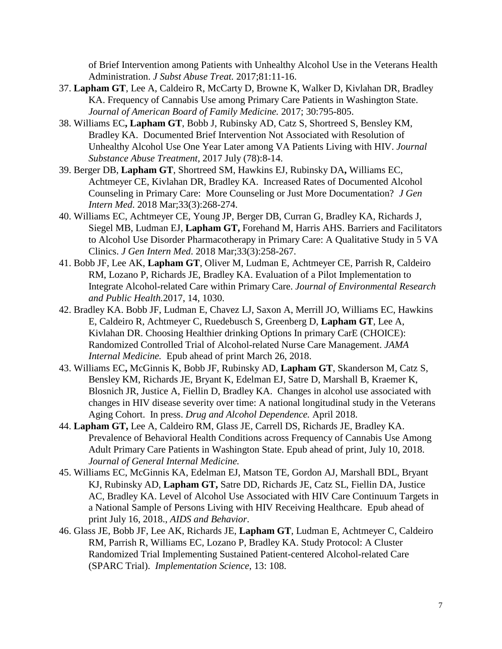of Brief Intervention among Patients with Unhealthy Alcohol Use in the Veterans Health Administration. *J Subst Abuse Treat.* 2017;81:11-16.

- 37. **Lapham GT**, Lee A, Caldeiro R, McCarty D, Browne K, Walker D, Kivlahan DR, Bradley KA. Frequency of Cannabis Use among Primary Care Patients in Washington State. *Journal of American Board of Family Medicine.* 2017; 30:795-805.
- 38. Williams EC**, Lapham GT**, Bobb J, Rubinsky AD, Catz S, Shortreed S, Bensley KM, Bradley KA. Documented Brief Intervention Not Associated with Resolution of Unhealthy Alcohol Use One Year Later among VA Patients Living with HIV. *Journal Substance Abuse Treatment,* 2017 July (78):8-14.
- 39. Berger DB, **Lapham GT**, Shortreed SM, Hawkins EJ, Rubinsky DA**,** Williams EC, Achtmeyer CE, Kivlahan DR, Bradley KA. Increased Rates of Documented Alcohol Counseling in Primary Care: More Counseling or Just More Documentation? *J Gen Intern Med*. 2018 Mar;33(3):268-274.
- 40. Williams EC, Achtmeyer CE, Young JP, Berger DB, Curran G, Bradley KA, Richards J, Siegel MB, Ludman EJ, **Lapham GT,** Forehand M, Harris AHS. Barriers and Facilitators to Alcohol Use Disorder Pharmacotherapy in Primary Care: A Qualitative Study in 5 VA Clinics. *J Gen Intern Med*. 2018 Mar;33(3):258-267.
- 41. Bobb JF, Lee AK, **Lapham GT**, Oliver M, Ludman E, Achtmeyer CE, Parrish R, Caldeiro RM, Lozano P, Richards JE, Bradley KA. Evaluation of a Pilot Implementation to Integrate Alcohol-related Care within Primary Care. *Journal of Environmental Research and Public Health.*2017, 14, 1030.
- 42. Bradley KA. Bobb JF, Ludman E, Chavez LJ, Saxon A, Merrill JO, Williams EC, Hawkins E, Caldeiro R, Achtmeyer C, Ruedebusch S, Greenberg D, **Lapham GT**, Lee A, Kivlahan DR. Choosing Healthier drinking Options In primary CarE (CHOICE): Randomized Controlled Trial of Alcohol-related Nurse Care Management. *JAMA Internal Medicine.* Epub ahead of print March 26, 2018.
- 43. Williams EC**,** McGinnis K, Bobb JF, Rubinsky AD, **Lapham GT**, Skanderson M, Catz S, Bensley KM, Richards JE, Bryant K, Edelman EJ, Satre D, Marshall B, Kraemer K, Blosnich JR, Justice A, Fiellin D, Bradley KA. Changes in alcohol use associated with changes in HIV disease severity over time: A national longitudinal study in the Veterans Aging Cohort. In press. *Drug and Alcohol Dependence.* April 2018.
- 44. **Lapham GT,** Lee A, Caldeiro RM, Glass JE, Carrell DS, Richards JE, Bradley KA. Prevalence of Behavioral Health Conditions across Frequency of Cannabis Use Among Adult Primary Care Patients in Washington State. Epub ahead of print, July 10, 2018. *Journal of General Internal Medicine.*
- 45. Williams EC, McGinnis KA, Edelman EJ, Matson TE, Gordon AJ, Marshall BDL, Bryant KJ, Rubinsky AD, **Lapham GT,** Satre DD, Richards JE, Catz SL, Fiellin DA, Justice AC, Bradley KA. Level of Alcohol Use Associated with HIV Care Continuum Targets in a National Sample of Persons Living with HIV Receiving Healthcare. Epub ahead of print July 16, 2018., *AIDS and Behavior*.
- 46. Glass JE, Bobb JF, Lee AK, Richards JE, **Lapham GT**, Ludman E, Achtmeyer C, Caldeiro RM, Parrish R, Williams EC, Lozano P, Bradley KA. Study Protocol: A Cluster Randomized Trial Implementing Sustained Patient-centered Alcohol-related Care (SPARC Trial). *Implementation Science*, 13: 108.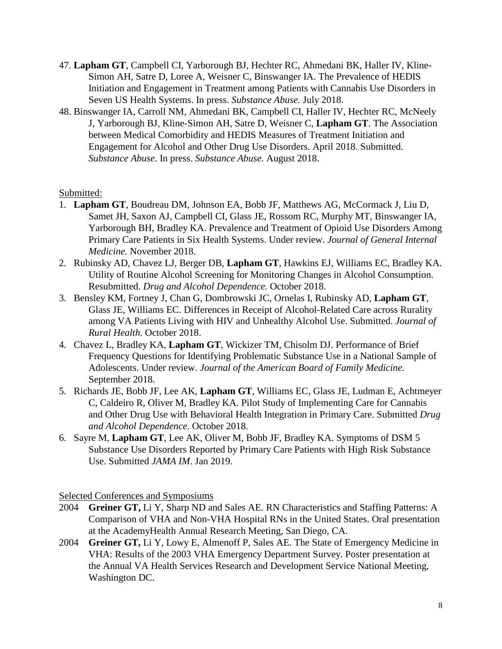- 47. **Lapham GT**, Campbell CI, Yarborough BJ, Hechter RC, Ahmedani BK, Haller IV, Kline-Simon AH, Satre D, Loree A, Weisner C, Binswanger IA. The Prevalence of HEDIS Initiation and Engagement in Treatment among Patients with Cannabis Use Disorders in Seven US Health Systems. In press. *Substance Abuse.* July 2018.
- 48. Binswanger IA, Carroll NM, Ahmedani BK, Campbell CI, Haller IV, Hechter RC, McNeely J, Yarborough BJ, Kline-Simon AH, Satre D, Weisner C, **Lapham GT**. The Association between Medical Comorbidity and HEDIS Measures of Treatment Initiation and Engagement for Alcohol and Other Drug Use Disorders. April 2018. Submitted. *Substance Abuse*. In press. *Substance Abuse.* August 2018.

## Submitted:

- 1. **Lapham GT**, Boudreau DM, Johnson EA, Bobb JF, Matthews AG, McCormack J, Liu D, Samet JH, Saxon AJ, Campbell CI, Glass JE, Rossom RC, Murphy MT, Binswanger IA, Yarborough BH, Bradley KA. Prevalence and Treatment of Opioid Use Disorders Among Primary Care Patients in Six Health Systems. Under review. *Journal of General Internal Medicine.* November 2018.
- 2. Rubinsky AD, Chavez LJ, Berger DB, **Lapham GT**, Hawkins EJ, Williams EC, Bradley KA. Utility of Routine Alcohol Screening for Monitoring Changes in Alcohol Consumption. Resubmitted. *Drug and Alcohol Dependence.* October 2018.
- 3. Bensley KM, Fortney J, Chan G, Dombrowski JC, Ornelas I, Rubinsky AD, **Lapham GT**, Glass JE, Williams EC. Differences in Receipt of Alcohol-Related Care across Rurality among VA Patients Living with HIV and Unhealthy Alcohol Use. Submitted. *Journal of Rural Health*. October 2018.
- 4. Chavez L, Bradley KA, **Lapham GT**, Wickizer TM, Chisolm DJ. Performance of Brief Frequency Questions for Identifying Problematic Substance Use in a National Sample of Adolescents. Under review. *Journal of the American Board of Family Medicine.* September 2018.
- 5. Richards JE, Bobb JF, Lee AK, **Lapham GT**, Williams EC, Glass JE, Ludman E, Achtmeyer C, Caldeiro R, Oliver M, Bradley KA. Pilot Study of Implementing Care for Cannabis and Other Drug Use with Behavioral Health Integration in Primary Care. Submitted *Drug and Alcohol Dependence*. October 2018.
- 6. Sayre M, **Lapham GT**, Lee AK, Oliver M, Bobb JF, Bradley KA. Symptoms of DSM 5 Substance Use Disorders Reported by Primary Care Patients with High Risk Substance Use. Submitted *JAMA IM*. Jan 2019.

Selected Conferences and Symposiums

- 2004 **Greiner GT,** Li Y, Sharp ND and Sales AE. RN Characteristics and Staffing Patterns: A Comparison of VHA and Non-VHA Hospital RNs in the United States. Oral presentation at the AcademyHealth Annual Research Meeting, San Diego, CA.
- 2004 **Greiner GT,** Li Y, Lowy E, Almenoff P, Sales AE. The State of Emergency Medicine in VHA: Results of the 2003 VHA Emergency Department Survey. Poster presentation at the Annual VA Health Services Research and Development Service National Meeting, Washington DC.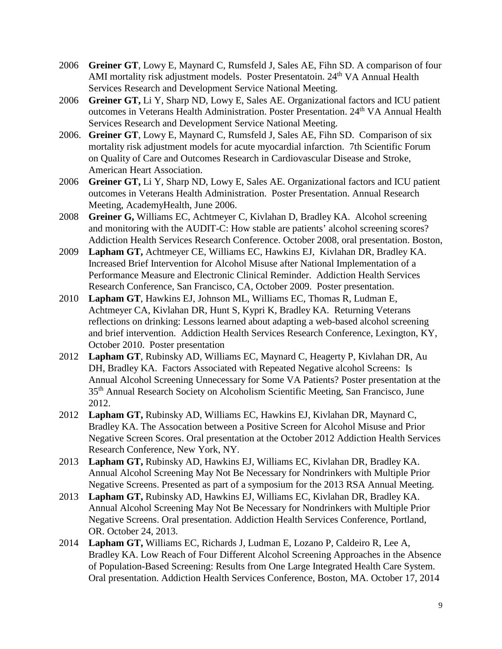- 2006 **Greiner GT**, Lowy E, Maynard C, Rumsfeld J, Sales AE, Fihn SD. A comparison of four AMI mortality risk adjustment models. Poster Presentatoin. 24<sup>th</sup> VA Annual Health Services Research and Development Service National Meeting.
- 2006 **Greiner GT,** Li Y, Sharp ND, Lowy E, Sales AE. Organizational factors and ICU patient outcomes in Veterans Health Administration. Poster Presentation. 24<sup>th</sup> VA Annual Health Services Research and Development Service National Meeting.
- 2006. **Greiner GT**, Lowy E, Maynard C, Rumsfeld J, Sales AE, Fihn SD. Comparison of six mortality risk adjustment models for acute myocardial infarction. 7th Scientific Forum on Quality of Care and Outcomes Research in Cardiovascular Disease and Stroke, American Heart Association.
- 2006 **Greiner GT,** Li Y, Sharp ND, Lowy E, Sales AE. Organizational factors and ICU patient outcomes in Veterans Health Administration. Poster Presentation. Annual Research Meeting, AcademyHealth, June 2006.
- 2008 **Greiner G,** Williams EC, Achtmeyer C, Kivlahan D, Bradley KA. Alcohol screening and monitoring with the AUDIT-C: How stable are patients' alcohol screening scores? Addiction Health Services Research Conference. October 2008, oral presentation. Boston,
- 2009 **Lapham GT,** Achtmeyer CE, Williams EC, Hawkins EJ, Kivlahan DR, Bradley KA. Increased Brief Intervention for Alcohol Misuse after National Implementation of a Performance Measure and Electronic Clinical Reminder. Addiction Health Services Research Conference, San Francisco, CA, October 2009. Poster presentation.
- 2010 **Lapham GT**, Hawkins EJ, Johnson ML, Williams EC, Thomas R, Ludman E, Achtmeyer CA, Kivlahan DR, Hunt S, Kypri K, Bradley KA. Returning Veterans reflections on drinking: Lessons learned about adapting a web-based alcohol screening and brief intervention. Addiction Health Services Research Conference, Lexington, KY, October 2010. Poster presentation
- 2012 **Lapham GT**, Rubinsky AD, Williams EC, Maynard C, Heagerty P, Kivlahan DR, Au DH, Bradley KA. Factors Associated with Repeated Negative alcohol Screens: Is Annual Alcohol Screening Unnecessary for Some VA Patients? Poster presentation at the 35th Annual Research Society on Alcoholism Scientific Meeting, San Francisco, June 2012.
- 2012 **Lapham GT,** Rubinsky AD, Williams EC, Hawkins EJ, Kivlahan DR, Maynard C, Bradley KA. The Assocation between a Positive Screen for Alcohol Misuse and Prior Negative Screen Scores. Oral presentation at the October 2012 Addiction Health Services Research Conference, New York, NY.
- 2013 **Lapham GT,** Rubinsky AD, Hawkins EJ, Williams EC, Kivlahan DR, Bradley KA. Annual Alcohol Screening May Not Be Necessary for Nondrinkers with Multiple Prior Negative Screens. Presented as part of a symposium for the 2013 RSA Annual Meeting.
- 2013 **Lapham GT,** Rubinsky AD, Hawkins EJ, Williams EC, Kivlahan DR, Bradley KA. Annual Alcohol Screening May Not Be Necessary for Nondrinkers with Multiple Prior Negative Screens. Oral presentation. Addiction Health Services Conference, Portland, OR. October 24, 2013.
- 2014 **Lapham GT,** Williams EC, Richards J, Ludman E, Lozano P, Caldeiro R, Lee A, Bradley KA. Low Reach of Four Different Alcohol Screening Approaches in the Absence of Population-Based Screening: Results from One Large Integrated Health Care System. Oral presentation. Addiction Health Services Conference, Boston, MA. October 17, 2014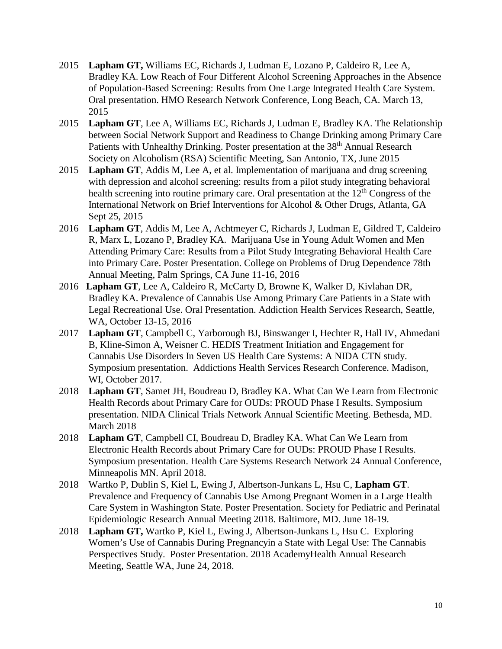- 2015 **Lapham GT,** Williams EC, Richards J, Ludman E, Lozano P, Caldeiro R, Lee A, Bradley KA. Low Reach of Four Different Alcohol Screening Approaches in the Absence of Population-Based Screening: Results from One Large Integrated Health Care System. Oral presentation. HMO Research Network Conference, Long Beach, CA. March 13, 2015
- 2015 **Lapham GT**, Lee A, Williams EC, Richards J, Ludman E, Bradley KA. The Relationship between Social Network Support and Readiness to Change Drinking among Primary Care Patients with Unhealthy Drinking. Poster presentation at the 38<sup>th</sup> Annual Research Society on Alcoholism (RSA) Scientific Meeting, San Antonio, TX, June 2015
- 2015 **Lapham GT**, Addis M, Lee A, et al. Implementation of marijuana and drug screening with depression and alcohol screening: results from a pilot study integrating behavioral health screening into routine primary care. Oral presentation at the  $12<sup>th</sup>$  Congress of the International Network on Brief Interventions for Alcohol & Other Drugs, Atlanta, GA Sept 25, 2015
- 2016 **Lapham GT**, Addis M, Lee A, Achtmeyer C, Richards J, Ludman E, Gildred T, Caldeiro R, Marx L, Lozano P, Bradley KA. Marijuana Use in Young Adult Women and Men Attending Primary Care: Results from a Pilot Study Integrating Behavioral Health Care into Primary Care. Poster Presentation. College on Problems of Drug Dependence 78th Annual Meeting, Palm Springs, CA June 11-16, 2016
- 2016 **Lapham GT**, Lee A, Caldeiro R, McCarty D, Browne K, Walker D, Kivlahan DR, Bradley KA. Prevalence of Cannabis Use Among Primary Care Patients in a State with Legal Recreational Use. Oral Presentation. Addiction Health Services Research, Seattle, WA, October 13-15, 2016
- 2017 **Lapham GT**, Campbell C, Yarborough BJ, Binswanger I, Hechter R, Hall IV, Ahmedani B, Kline-Simon A, Weisner C. HEDIS Treatment Initiation and Engagement for Cannabis Use Disorders In Seven US Health Care Systems: A NIDA CTN study. Symposium presentation. Addictions Health Services Research Conference. Madison, WI, October 2017.
- 2018 **Lapham GT**, Samet JH, Boudreau D, Bradley KA. What Can We Learn from Electronic Health Records about Primary Care for OUDs: PROUD Phase I Results. Symposium presentation. NIDA Clinical Trials Network Annual Scientific Meeting. Bethesda, MD. March 2018
- 2018 **Lapham GT**, Campbell CI, Boudreau D, Bradley KA. What Can We Learn from Electronic Health Records about Primary Care for OUDs: PROUD Phase I Results. Symposium presentation. Health Care Systems Research Network 24 Annual Conference, Minneapolis MN. April 2018.
- 2018 Wartko P, Dublin S, Kiel L, Ewing J, Albertson-Junkans L, Hsu C, **Lapham GT**. Prevalence and Frequency of Cannabis Use Among Pregnant Women in a Large Health Care System in Washington State. Poster Presentation. Society for Pediatric and Perinatal Epidemiologic Research Annual Meeting 2018. Baltimore, MD. June 18-19.
- 2018 **Lapham GT,** Wartko P, Kiel L, Ewing J, Albertson-Junkans L, Hsu C. Exploring Women's Use of Cannabis During Pregnancyin a State with Legal Use: The Cannabis Perspectives Study. Poster Presentation. 2018 AcademyHealth Annual Research Meeting, Seattle WA, June 24, 2018.